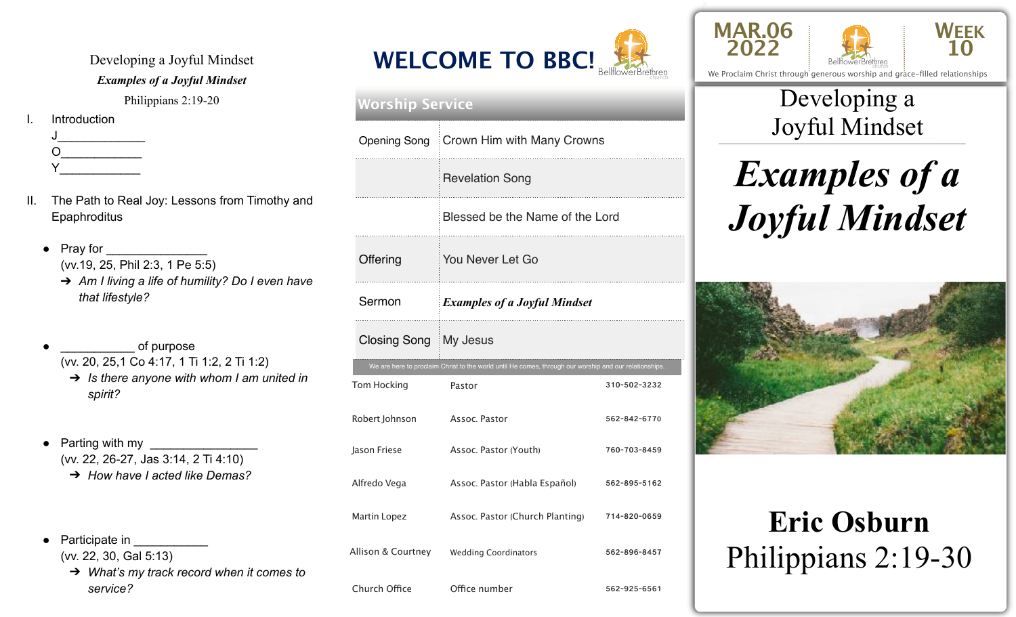Developing a Joyful Mindset *Examples of a Joyful Mindset*  Philippians 2:19-20 **Introduction**  $J_\perp$  , and the set of  $J_\perp$  $O$  and  $O$  and  $O$  and  $O$  and  $O$  and  $O$  and  $O$  and  $O$  and  $O$  and  $O$  and  $O$  and  $O$  and  $O$  and  $O$  and  $O$  and  $O$  and  $O$  and  $O$  and  $O$  and  $O$  and  $O$  and  $O$  and  $O$  and  $O$  and  $O$  and  $O$  and  $O$  and  $O$  a

 $Y$  and  $Y$  and  $Y$  and  $Y$  and  $Y$  and  $Y$  and  $Y$  and  $Y$  and  $Y$  and  $Y$  and  $Y$  and  $Y$  and  $Y$  and  $Y$  and  $Y$  and  $Y$  and  $Y$  and  $Y$  and  $Y$  and  $Y$  and  $Y$  and  $Y$  and  $Y$  and  $Y$  and  $Y$  and  $Y$  and  $Y$  and  $Y$  a

- II. The Path to Real Joy: Lessons from Timothy and **Epaphroditus** 
	- Pray for (vv.19, 25, Phil 2:3, 1 Pe 5:5)
		- ➔ *Am I living a life of humility? Do I even have that lifestyle?*
	- of purpose
		- (vv. 20, 25,1 Co 4:17, 1 Ti 1:2, 2 Ti 1:2)
		- ➔ *Is there anyone with whom I am united in spirit?*
	- $\bullet$  Parting with my (vv. 22, 26-27, Jas 3:14, 2 Ti 4:10) ➔ *How have I acted like Demas?*
	- Participate in **Participate** (vv. 22, 30, Gal 5:13)
		- ➔ *What's my track record when it comes to service?*









We Proclaim Christ through generous worship and grace-filled relationships

### \_\_\_\_\_\_\_\_\_\_\_\_\_\_\_\_\_\_\_\_\_\_\_\_\_\_\_\_\_\_\_\_\_\_\_\_\_\_\_\_\_\_\_\_\_\_\_\_\_ Joyful Mindset Developing a

# *Examples of a Joyful Mindset*



## **Eric Osburn** Philippians 2:19-30